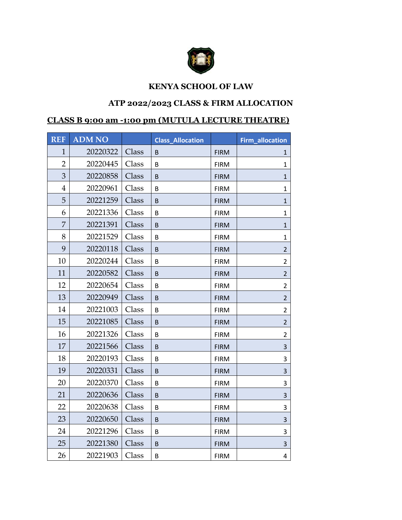

## **KENYA SCHOOL OF LAW**

## **ATP 2022/2023 CLASS & FIRM ALLOCATION**

## **CLASS B 9:00 am -1:00 pm (MUTULA LECTURE THEATRE)**

| <b>REF</b>     | <b>ADM NO</b> |       | <b>Class Allocation</b> |             | Firm_allocation |
|----------------|---------------|-------|-------------------------|-------------|-----------------|
| $\mathbf{1}$   | 20220322      | Class | B                       | <b>FIRM</b> | $\mathbf{1}$    |
| $\overline{2}$ | 20220445      | Class | B                       | <b>FIRM</b> | $\mathbf{1}$    |
| 3              | 20220858      | Class | B                       | <b>FIRM</b> | $\mathbf{1}$    |
| $\overline{4}$ | 20220961      | Class | B                       | <b>FIRM</b> | $\mathbf{1}$    |
| 5              | 20221259      | Class | B                       | <b>FIRM</b> | $\mathbf{1}$    |
| 6              | 20221336      | Class | B                       | <b>FIRM</b> | $\mathbf{1}$    |
| $\overline{7}$ | 20221391      | Class | B                       | <b>FIRM</b> | $\mathbf{1}$    |
| 8              | 20221529      | Class | B                       | <b>FIRM</b> | $\mathbf{1}$    |
| 9              | 20220118      | Class | B                       | <b>FIRM</b> | $\overline{2}$  |
| 10             | 20220244      | Class | B                       | <b>FIRM</b> | $\overline{2}$  |
| 11             | 20220582      | Class | B                       | <b>FIRM</b> | $\overline{2}$  |
| 12             | 20220654      | Class | B                       | <b>FIRM</b> | $\overline{2}$  |
| 13             | 20220949      | Class | B                       | <b>FIRM</b> | $\overline{2}$  |
| 14             | 20221003      | Class | B                       | <b>FIRM</b> | $\overline{2}$  |
| 15             | 20221085      | Class | B.                      | <b>FIRM</b> | $\overline{2}$  |
| 16             | 20221326      | Class | B                       | <b>FIRM</b> | $\overline{a}$  |
| 17             | 20221566      | Class | B                       | <b>FIRM</b> | 3               |
| 18             | 20220193      | Class | B                       | <b>FIRM</b> | 3               |
| 19             | 20220331      | Class | B                       | <b>FIRM</b> | 3               |
| 20             | 20220370      | Class | B                       | <b>FIRM</b> | 3               |
| 21             | 20220636      | Class | B                       | <b>FIRM</b> | 3               |
| 22             | 20220638      | Class | B                       | <b>FIRM</b> | 3               |
| 23             | 20220650      | Class | B                       | <b>FIRM</b> | 3               |
| 24             | 20221296      | Class | B                       | <b>FIRM</b> | 3               |
| 25             | 20221380      | Class | B                       | <b>FIRM</b> | 3               |
| 26             | 20221903      | Class | B                       | <b>FIRM</b> | 4               |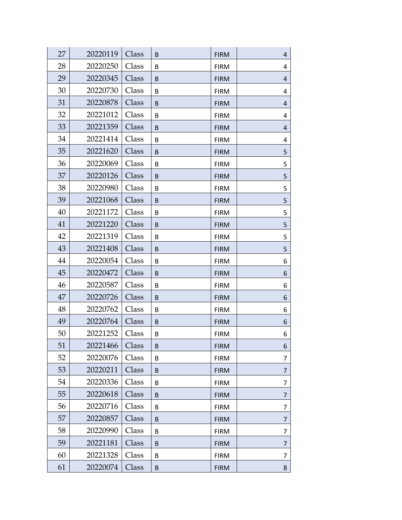| 27 | 20220119 | Class | B | <b>FIRM</b> | 4 |
|----|----------|-------|---|-------------|---|
| 28 | 20220250 | Class | B | <b>FIRM</b> | 4 |
| 29 | 20220345 | Class | B | <b>FIRM</b> | 4 |
| 30 | 20220730 | Class | B | <b>FIRM</b> | 4 |
| 31 | 20220878 | Class | B | <b>FIRM</b> | 4 |
| 32 | 20221012 | Class | B | <b>FIRM</b> | 4 |
| 33 | 20221359 | Class | B | <b>FIRM</b> | 4 |
| 34 | 20221414 | Class | B | <b>FIRM</b> | 4 |
| 35 | 20221620 | Class | B | <b>FIRM</b> | 5 |
| 36 | 20220069 | Class | B | <b>FIRM</b> | 5 |
| 37 | 20220126 | Class | B | <b>FIRM</b> | 5 |
| 38 | 20220980 | Class | B | <b>FIRM</b> | 5 |
| 39 | 20221068 | Class | B | <b>FIRM</b> | 5 |
| 40 | 20221172 | Class | B | <b>FIRM</b> | 5 |
| 41 | 20221220 | Class | B | <b>FIRM</b> | 5 |
| 42 | 20221319 | Class | B | <b>FIRM</b> | 5 |
| 43 | 20221408 | Class | B | <b>FIRM</b> | 5 |
| 44 | 20220054 | Class | B | <b>FIRM</b> | 6 |
| 45 | 20220472 | Class | B | <b>FIRM</b> | 6 |
| 46 | 20220587 | Class | B | <b>FIRM</b> | 6 |
| 47 | 20220726 | Class | B | <b>FIRM</b> | 6 |
| 48 | 20220762 | Class | B | <b>FIRM</b> | 6 |
| 49 | 20220764 | Class | B | <b>FIRM</b> | 6 |
| 50 | 20221252 | Class | В | <b>FIRM</b> | 6 |
| 51 | 20221466 | Class | B | <b>FIRM</b> | 6 |
| 52 | 20220076 | Class | B | <b>FIRM</b> | 7 |
| 53 | 20220211 | Class | B | <b>FIRM</b> | 7 |
| 54 | 20220336 | Class | B | <b>FIRM</b> | 7 |
| 55 | 20220618 | Class | B | <b>FIRM</b> | 7 |
| 56 | 20220716 | Class | B | <b>FIRM</b> | 7 |
| 57 | 20220857 | Class | B | <b>FIRM</b> | 7 |
| 58 | 20220990 | Class | B | <b>FIRM</b> | 7 |
| 59 | 20221181 | Class | B | <b>FIRM</b> | 7 |
| 60 | 20221328 | Class | B | <b>FIRM</b> | 7 |
| 61 | 20220074 | Class | B | <b>FIRM</b> | 8 |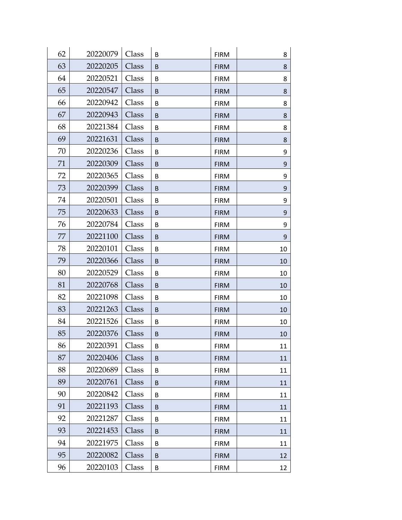| 62 | 20220079 | Class | B | <b>FIRM</b> | 8  |
|----|----------|-------|---|-------------|----|
| 63 | 20220205 | Class | B | <b>FIRM</b> | 8  |
| 64 | 20220521 | Class | B | <b>FIRM</b> | 8  |
| 65 | 20220547 | Class | B | <b>FIRM</b> | 8  |
| 66 | 20220942 | Class | B | <b>FIRM</b> | 8  |
| 67 | 20220943 | Class | B | <b>FIRM</b> | 8  |
| 68 | 20221384 | Class | B | <b>FIRM</b> | 8  |
| 69 | 20221631 | Class | B | <b>FIRM</b> | 8  |
| 70 | 20220236 | Class | B | <b>FIRM</b> | 9  |
| 71 | 20220309 | Class | B | <b>FIRM</b> | 9  |
| 72 | 20220365 | Class | B | <b>FIRM</b> | 9  |
| 73 | 20220399 | Class | B | <b>FIRM</b> | 9  |
| 74 | 20220501 | Class | B | <b>FIRM</b> | 9  |
| 75 | 20220633 | Class | B | <b>FIRM</b> | 9  |
| 76 | 20220784 | Class | B | <b>FIRM</b> | 9  |
| 77 | 20221100 | Class | B | <b>FIRM</b> | 9  |
| 78 | 20220101 | Class | B | <b>FIRM</b> | 10 |
| 79 | 20220366 | Class | B | <b>FIRM</b> | 10 |
| 80 | 20220529 | Class | B | <b>FIRM</b> | 10 |
| 81 | 20220768 | Class | B | <b>FIRM</b> | 10 |
| 82 | 20221098 | Class | B | <b>FIRM</b> | 10 |
| 83 | 20221263 | Class | B | <b>FIRM</b> | 10 |
| 84 | 20221526 | Class | B | <b>FIRM</b> | 10 |
| 85 | 20220376 | Class | B | <b>FIRM</b> | 10 |
| 86 | 20220391 | Class | B | <b>FIRM</b> | 11 |
| 87 | 20220406 | Class | B | <b>FIRM</b> | 11 |
| 88 | 20220689 | Class | B | <b>FIRM</b> | 11 |
| 89 | 20220761 | Class | B | <b>FIRM</b> | 11 |
| 90 | 20220842 | Class | B | <b>FIRM</b> | 11 |
| 91 | 20221193 | Class | B | <b>FIRM</b> | 11 |
| 92 | 20221287 | Class | B | <b>FIRM</b> | 11 |
| 93 | 20221453 | Class | B | <b>FIRM</b> | 11 |
| 94 | 20221975 | Class | B | <b>FIRM</b> | 11 |
| 95 | 20220082 | Class | B | <b>FIRM</b> | 12 |
| 96 | 20220103 | Class | B | <b>FIRM</b> | 12 |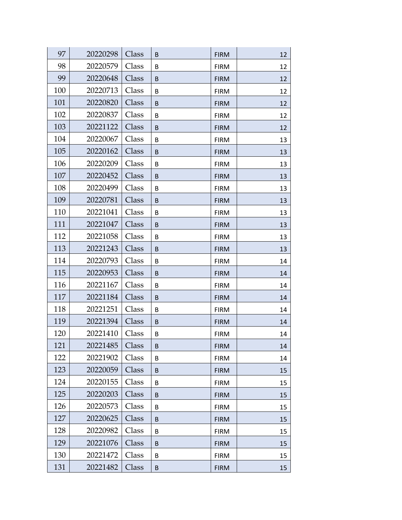| 97  | 20220298 | Class | B | <b>FIRM</b> | 12 |
|-----|----------|-------|---|-------------|----|
| 98  | 20220579 | Class | B | <b>FIRM</b> | 12 |
| 99  | 20220648 | Class | B | <b>FIRM</b> | 12 |
| 100 | 20220713 | Class | B | <b>FIRM</b> | 12 |
| 101 | 20220820 | Class | B | <b>FIRM</b> | 12 |
| 102 | 20220837 | Class | B | <b>FIRM</b> | 12 |
| 103 | 20221122 | Class | B | <b>FIRM</b> | 12 |
| 104 | 20220067 | Class | B | <b>FIRM</b> | 13 |
| 105 | 20220162 | Class | B | <b>FIRM</b> | 13 |
| 106 | 20220209 | Class | В | <b>FIRM</b> | 13 |
| 107 | 20220452 | Class | B | <b>FIRM</b> | 13 |
| 108 | 20220499 | Class | B | <b>FIRM</b> | 13 |
| 109 | 20220781 | Class | B | <b>FIRM</b> | 13 |
| 110 | 20221041 | Class | B | <b>FIRM</b> | 13 |
| 111 | 20221047 | Class | B | <b>FIRM</b> | 13 |
| 112 | 20221058 | Class | B | <b>FIRM</b> | 13 |
| 113 | 20221243 | Class | B | <b>FIRM</b> | 13 |
| 114 | 20220793 | Class | B | <b>FIRM</b> | 14 |
| 115 | 20220953 | Class | B | <b>FIRM</b> | 14 |
| 116 | 20221167 | Class | B | <b>FIRM</b> | 14 |
| 117 | 20221184 | Class | B | <b>FIRM</b> | 14 |
| 118 | 20221251 | Class | B | <b>FIRM</b> | 14 |
| 119 | 20221394 | Class | B | <b>FIRM</b> | 14 |
| 120 | 20221410 | Class | В | <b>FIRM</b> | 14 |
| 121 | 20221485 | Class | B | <b>FIRM</b> | 14 |
| 122 | 20221902 | Class | B | <b>FIRM</b> | 14 |
| 123 | 20220059 | Class | B | <b>FIRM</b> | 15 |
| 124 | 20220155 | Class | B | <b>FIRM</b> | 15 |
| 125 | 20220203 | Class | B | <b>FIRM</b> | 15 |
| 126 | 20220573 | Class | B | <b>FIRM</b> | 15 |
| 127 | 20220625 | Class | B | <b>FIRM</b> | 15 |
| 128 | 20220982 | Class | B | <b>FIRM</b> | 15 |
| 129 | 20221076 | Class | B | <b>FIRM</b> | 15 |
| 130 | 20221472 | Class | B | <b>FIRM</b> | 15 |
| 131 | 20221482 | Class | B | <b>FIRM</b> | 15 |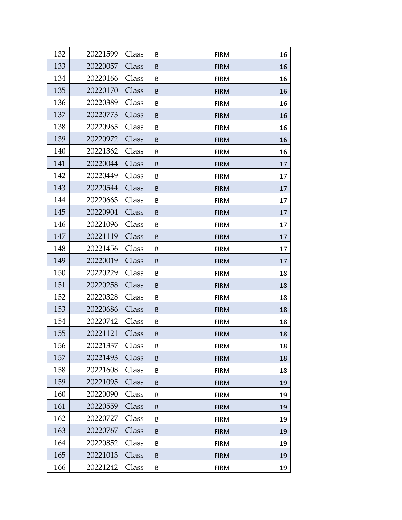| 132 | 20221599 | Class | B | <b>FIRM</b> | 16 |
|-----|----------|-------|---|-------------|----|
| 133 | 20220057 | Class | B | <b>FIRM</b> | 16 |
| 134 | 20220166 | Class | B | <b>FIRM</b> | 16 |
| 135 | 20220170 | Class | B | <b>FIRM</b> | 16 |
| 136 | 20220389 | Class | B | <b>FIRM</b> | 16 |
| 137 | 20220773 | Class | B | <b>FIRM</b> | 16 |
| 138 | 20220965 | Class | B | <b>FIRM</b> | 16 |
| 139 | 20220972 | Class | B | <b>FIRM</b> | 16 |
| 140 | 20221362 | Class | B | <b>FIRM</b> | 16 |
| 141 | 20220044 | Class | B | <b>FIRM</b> | 17 |
| 142 | 20220449 | Class | B | <b>FIRM</b> | 17 |
| 143 | 20220544 | Class | B | <b>FIRM</b> | 17 |
| 144 | 20220663 | Class | B | <b>FIRM</b> | 17 |
| 145 | 20220904 | Class | B | <b>FIRM</b> | 17 |
| 146 | 20221096 | Class | B | <b>FIRM</b> | 17 |
| 147 | 20221119 | Class | B | <b>FIRM</b> | 17 |
| 148 | 20221456 | Class | B | <b>FIRM</b> | 17 |
| 149 | 20220019 | Class | B | <b>FIRM</b> | 17 |
| 150 | 20220229 | Class | B | <b>FIRM</b> | 18 |
| 151 | 20220258 | Class | B | <b>FIRM</b> | 18 |
| 152 | 20220328 | Class | B | <b>FIRM</b> | 18 |
| 153 | 20220686 | Class | B | <b>FIRM</b> | 18 |
| 154 | 20220742 | Class | B | <b>FIRM</b> | 18 |
| 155 | 20221121 | Class | B | <b>FIRM</b> | 18 |
| 156 | 20221337 | Class | B | <b>FIRM</b> | 18 |
| 157 | 20221493 | Class | B | <b>FIRM</b> | 18 |
| 158 | 20221608 | Class | B | <b>FIRM</b> | 18 |
| 159 | 20221095 | Class | B | <b>FIRM</b> | 19 |
| 160 | 20220090 | Class | B | <b>FIRM</b> | 19 |
| 161 | 20220559 | Class | B | <b>FIRM</b> | 19 |
| 162 | 20220727 | Class | B | <b>FIRM</b> | 19 |
| 163 | 20220767 | Class | B | <b>FIRM</b> | 19 |
| 164 | 20220852 | Class | В | <b>FIRM</b> | 19 |
| 165 | 20221013 | Class | B | <b>FIRM</b> | 19 |
| 166 | 20221242 | Class | B | <b>FIRM</b> | 19 |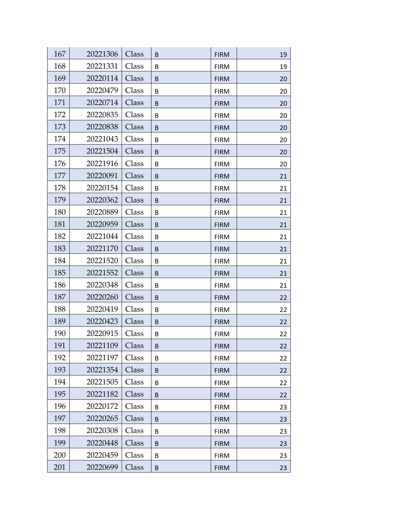| 167 | 20221306 | Class |        |                            | 19       |
|-----|----------|-------|--------|----------------------------|----------|
| 168 | 20221331 | Class | B<br>B | <b>FIRM</b><br><b>FIRM</b> | 19       |
| 169 | 20220114 | Class | B      | <b>FIRM</b>                | 20       |
| 170 | 20220479 | Class | B      | <b>FIRM</b>                | 20       |
| 171 | 20220714 | Class | B      | <b>FIRM</b>                | 20       |
| 172 | 20220835 | Class | B      |                            |          |
| 173 | 20220838 | Class | B      | <b>FIRM</b><br><b>FIRM</b> | 20<br>20 |
| 174 | 20221043 | Class | B      | <b>FIRM</b>                | 20       |
| 175 | 20221504 | Class | B      | <b>FIRM</b>                | 20       |
| 176 | 20221916 | Class | B      | <b>FIRM</b>                | 20       |
| 177 | 20220091 | Class | B      | <b>FIRM</b>                | 21       |
| 178 | 20220154 | Class | B      | <b>FIRM</b>                | 21       |
| 179 | 20220362 | Class | B      | <b>FIRM</b>                | 21       |
| 180 | 20220889 | Class | В      | <b>FIRM</b>                | 21       |
| 181 | 20220959 | Class | B      | <b>FIRM</b>                | 21       |
| 182 | 20221044 | Class | B      | <b>FIRM</b>                | 21       |
| 183 | 20221170 | Class | B      | <b>FIRM</b>                | 21       |
| 184 | 20221520 | Class | B      | <b>FIRM</b>                | 21       |
| 185 | 20221552 | Class | B      | <b>FIRM</b>                | 21       |
| 186 | 20220348 | Class | B      | <b>FIRM</b>                | 21       |
| 187 | 20220260 | Class | B      | <b>FIRM</b>                | 22       |
| 188 | 20220419 | Class | B      | <b>FIRM</b>                | 22       |
| 189 | 20220423 | Class | B      | <b>FIRM</b>                | 22       |
| 190 | 20220915 | Class | В      | <b>FIRM</b>                | 22       |
| 191 | 20221109 | Class | B      | <b>FIRM</b>                | 22       |
| 192 | 20221197 | Class | B      | <b>FIRM</b>                | 22       |
| 193 | 20221354 | Class | B      | <b>FIRM</b>                | 22       |
| 194 | 20221505 | Class | B      | <b>FIRM</b>                | 22       |
| 195 | 20221182 | Class | B      | <b>FIRM</b>                | 22       |
| 196 | 20220172 | Class | B      | <b>FIRM</b>                | 23       |
| 197 | 20220265 | Class | B      | <b>FIRM</b>                | 23       |
| 198 | 20220308 | Class | B      | <b>FIRM</b>                | 23       |
| 199 | 20220448 | Class | B      | <b>FIRM</b>                | 23       |
| 200 | 20220459 | Class | B      | <b>FIRM</b>                | 23       |
| 201 | 20220699 | Class | B      | <b>FIRM</b>                | 23       |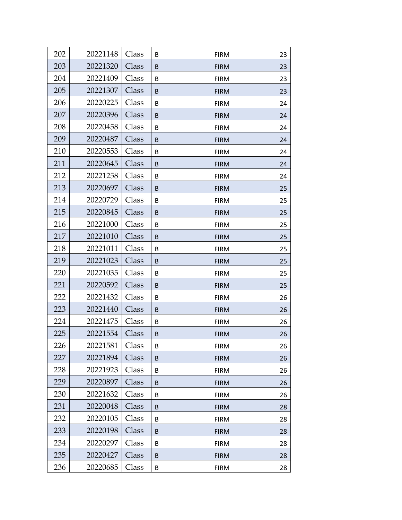| 202 | 20221148 | Class | B | <b>FIRM</b> | 23 |
|-----|----------|-------|---|-------------|----|
| 203 | 20221320 | Class | B | <b>FIRM</b> | 23 |
| 204 | 20221409 | Class | B | <b>FIRM</b> | 23 |
| 205 | 20221307 | Class | B | <b>FIRM</b> | 23 |
| 206 | 20220225 | Class | B | <b>FIRM</b> | 24 |
| 207 | 20220396 | Class | B | <b>FIRM</b> | 24 |
| 208 | 20220458 | Class | B | <b>FIRM</b> | 24 |
| 209 | 20220487 | Class | B | <b>FIRM</b> | 24 |
| 210 | 20220553 | Class | B | <b>FIRM</b> | 24 |
| 211 | 20220645 | Class | B | <b>FIRM</b> | 24 |
| 212 | 20221258 | Class | B | <b>FIRM</b> | 24 |
| 213 | 20220697 | Class | B | <b>FIRM</b> | 25 |
| 214 | 20220729 | Class | B | <b>FIRM</b> | 25 |
| 215 | 20220845 | Class | B | <b>FIRM</b> | 25 |
| 216 | 20221000 | Class | B | <b>FIRM</b> | 25 |
| 217 | 20221010 | Class | B | <b>FIRM</b> | 25 |
| 218 | 20221011 | Class | B | <b>FIRM</b> | 25 |
| 219 | 20221023 | Class | B | <b>FIRM</b> | 25 |
| 220 | 20221035 | Class | B | <b>FIRM</b> | 25 |
| 221 | 20220592 | Class | B | <b>FIRM</b> | 25 |
| 222 | 20221432 | Class | B | <b>FIRM</b> | 26 |
| 223 | 20221440 | Class | B | <b>FIRM</b> | 26 |
| 224 | 20221475 | Class | B | <b>FIRM</b> | 26 |
| 225 | 20221554 | Class | B | <b>FIRM</b> | 26 |
| 226 | 20221581 | Class | B | <b>FIRM</b> | 26 |
| 227 | 20221894 | Class | B | <b>FIRM</b> | 26 |
| 228 | 20221923 | Class | B | <b>FIRM</b> | 26 |
| 229 | 20220897 | Class | B | <b>FIRM</b> | 26 |
| 230 | 20221632 | Class | B | <b>FIRM</b> | 26 |
| 231 | 20220048 | Class | B | <b>FIRM</b> | 28 |
| 232 | 20220105 | Class | B | <b>FIRM</b> | 28 |
| 233 | 20220198 | Class | B | <b>FIRM</b> | 28 |
| 234 | 20220297 | Class | B | <b>FIRM</b> | 28 |
| 235 | 20220427 | Class | B | <b>FIRM</b> | 28 |
| 236 | 20220685 | Class | B | <b>FIRM</b> | 28 |